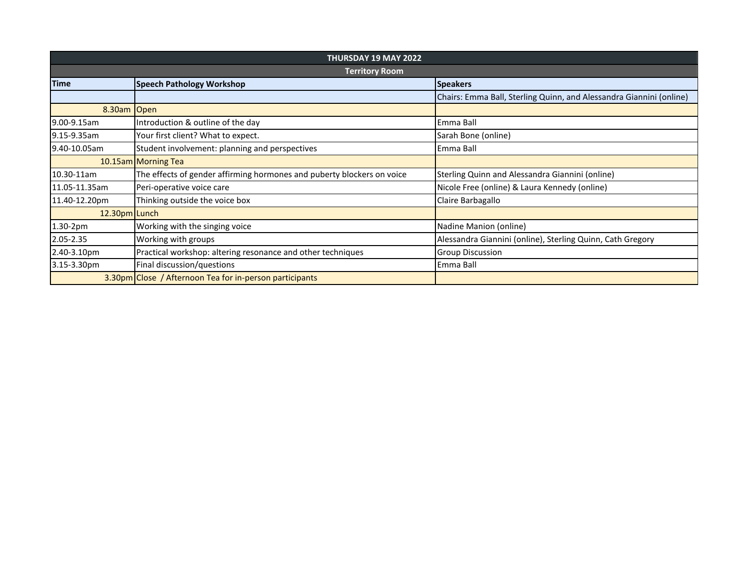| <b>THURSDAY 19 MAY 2022</b> |                                                                        |                                                                     |  |  |
|-----------------------------|------------------------------------------------------------------------|---------------------------------------------------------------------|--|--|
| <b>Territory Room</b>       |                                                                        |                                                                     |  |  |
| <b>Time</b>                 | <b>Speech Pathology Workshop</b>                                       | <b>Speakers</b>                                                     |  |  |
|                             |                                                                        | Chairs: Emma Ball, Sterling Quinn, and Alessandra Giannini (online) |  |  |
| 8.30am Open                 |                                                                        |                                                                     |  |  |
| 9.00-9.15am                 | Introduction & outline of the day                                      | Emma Ball                                                           |  |  |
| 9.15-9.35am                 | Your first client? What to expect.                                     | Sarah Bone (online)                                                 |  |  |
| 9.40-10.05am                | Student involvement: planning and perspectives                         | Emma Ball                                                           |  |  |
|                             | 10.15am Morning Tea                                                    |                                                                     |  |  |
| 10.30-11am                  | The effects of gender affirming hormones and puberty blockers on voice | Sterling Quinn and Alessandra Giannini (online)                     |  |  |
| 11.05-11.35am               | Peri-operative voice care                                              | Nicole Free (online) & Laura Kennedy (online)                       |  |  |
| 11.40-12.20pm               | Thinking outside the voice box                                         | Claire Barbagallo                                                   |  |  |
| 12.30pm Lunch               |                                                                        |                                                                     |  |  |
| 1.30-2pm                    | Working with the singing voice                                         | Nadine Manion (online)                                              |  |  |
| 2.05-2.35                   | Working with groups                                                    | Alessandra Giannini (online), Sterling Quinn, Cath Gregory          |  |  |
| 2.40-3.10pm                 | Practical workshop: altering resonance and other techniques            | <b>Group Discussion</b>                                             |  |  |
| 3.15-3.30pm                 | Final discussion/questions                                             | Emma Ball                                                           |  |  |
|                             | 3.30pm Close / Afternoon Tea for in-person participants                |                                                                     |  |  |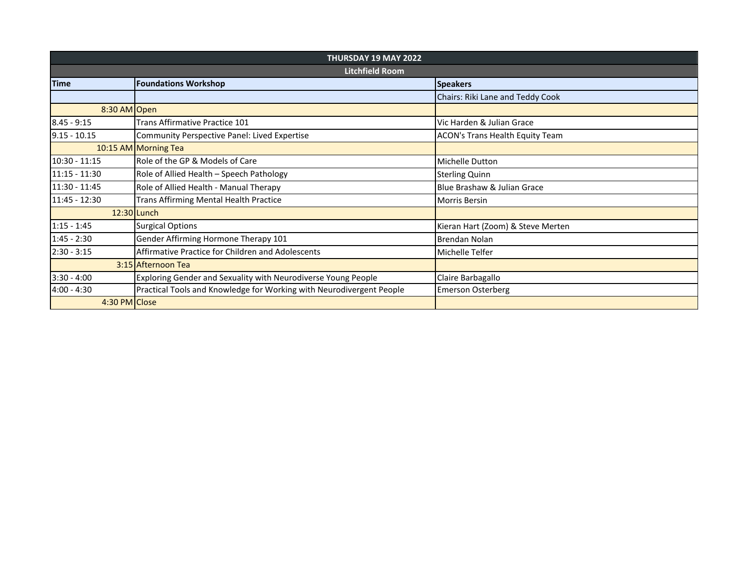|                 | <b>THURSDAY 19 MAY 2022</b>                                          |                                        |  |  |  |
|-----------------|----------------------------------------------------------------------|----------------------------------------|--|--|--|
| Litchfield Room |                                                                      |                                        |  |  |  |
| <b>Time</b>     | <b>Foundations Workshop</b>                                          | <b>Speakers</b>                        |  |  |  |
|                 |                                                                      | Chairs: Riki Lane and Teddy Cook       |  |  |  |
| 8:30 AM Open    |                                                                      |                                        |  |  |  |
| $8.45 - 9:15$   | Trans Affirmative Practice 101                                       | Vic Harden & Julian Grace              |  |  |  |
| $9.15 - 10.15$  | Community Perspective Panel: Lived Expertise                         | <b>ACON's Trans Health Equity Team</b> |  |  |  |
|                 | 10:15 AM Morning Tea                                                 |                                        |  |  |  |
| $10:30 - 11:15$ | Role of the GP & Models of Care                                      | <b>Michelle Dutton</b>                 |  |  |  |
| $11:15 - 11:30$ | Role of Allied Health - Speech Pathology                             | <b>Sterling Quinn</b>                  |  |  |  |
| $11:30 - 11:45$ | Role of Allied Health - Manual Therapy                               | Blue Brashaw & Julian Grace            |  |  |  |
| 11:45 - 12:30   | <b>Trans Affirming Mental Health Practice</b>                        | <b>Morris Bersin</b>                   |  |  |  |
|                 | 12:30 Lunch                                                          |                                        |  |  |  |
| $1:15 - 1:45$   | <b>Surgical Options</b>                                              | Kieran Hart (Zoom) & Steve Merten      |  |  |  |
| $1:45 - 2:30$   | Gender Affirming Hormone Therapy 101                                 | <b>Brendan Nolan</b>                   |  |  |  |
| $2:30 - 3:15$   | Affirmative Practice for Children and Adolescents                    | Michelle Telfer                        |  |  |  |
|                 | 3:15 Afternoon Tea                                                   |                                        |  |  |  |
| $3:30 - 4:00$   | Exploring Gender and Sexuality with Neurodiverse Young People        | Claire Barbagallo                      |  |  |  |
| $4:00 - 4:30$   | Practical Tools and Knowledge for Working with Neurodivergent People | <b>Emerson Osterberg</b>               |  |  |  |
| 4:30 PM Close   |                                                                      |                                        |  |  |  |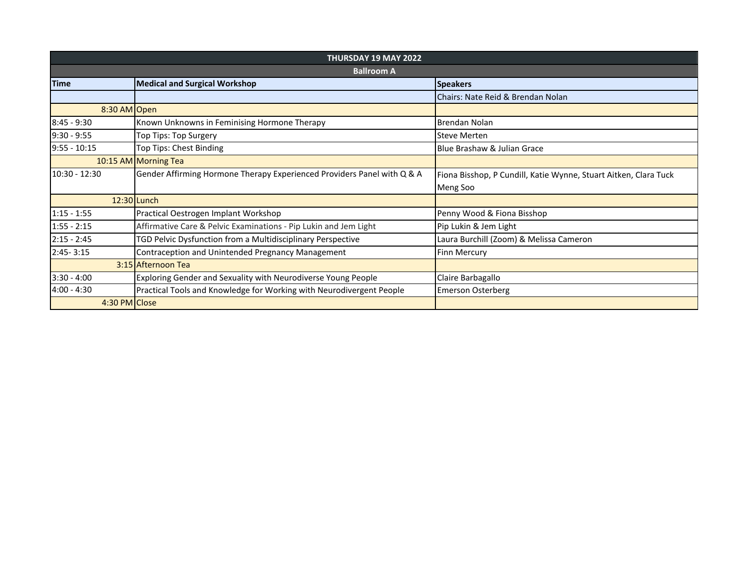| <b>THURSDAY 19 MAY 2022</b> |                                                                         |                                                                  |  |  |
|-----------------------------|-------------------------------------------------------------------------|------------------------------------------------------------------|--|--|
| <b>Ballroom A</b>           |                                                                         |                                                                  |  |  |
| <b>Time</b>                 | <b>Medical and Surgical Workshop</b>                                    | <b>Speakers</b>                                                  |  |  |
|                             |                                                                         | Chairs: Nate Reid & Brendan Nolan                                |  |  |
| 8:30 AM Open                |                                                                         |                                                                  |  |  |
| $8:45 - 9:30$               | Known Unknowns in Feminising Hormone Therapy                            | Brendan Nolan                                                    |  |  |
| $9:30 - 9:55$               | Top Tips: Top Surgery                                                   | <b>Steve Merten</b>                                              |  |  |
| $9:55 - 10:15$              | Top Tips: Chest Binding                                                 | Blue Brashaw & Julian Grace                                      |  |  |
|                             | 10:15 AM Morning Tea                                                    |                                                                  |  |  |
| $10:30 - 12:30$             | Gender Affirming Hormone Therapy Experienced Providers Panel with Q & A | Fiona Bisshop, P Cundill, Katie Wynne, Stuart Aitken, Clara Tuck |  |  |
|                             |                                                                         | Meng Soo                                                         |  |  |
|                             | 12:30 Lunch                                                             |                                                                  |  |  |
| $1:15 - 1:55$               | Practical Oestrogen Implant Workshop                                    | Penny Wood & Fiona Bisshop                                       |  |  |
| $1:55 - 2:15$               | Affirmative Care & Pelvic Examinations - Pip Lukin and Jem Light        | Pip Lukin & Jem Light                                            |  |  |
| $2:15 - 2:45$               | TGD Pelvic Dysfunction from a Multidisciplinary Perspective             | Laura Burchill (Zoom) & Melissa Cameron                          |  |  |
| $2:45 - 3:15$               | Contraception and Unintended Pregnancy Management                       | <b>Finn Mercury</b>                                              |  |  |
|                             | 3:15 Afternoon Tea                                                      |                                                                  |  |  |
| $3:30 - 4:00$               | Exploring Gender and Sexuality with Neurodiverse Young People           | Claire Barbagallo                                                |  |  |
| 4:00 - 4:30                 | Practical Tools and Knowledge for Working with Neurodivergent People    | <b>Emerson Osterberg</b>                                         |  |  |
| 4:30 PM Close               |                                                                         |                                                                  |  |  |